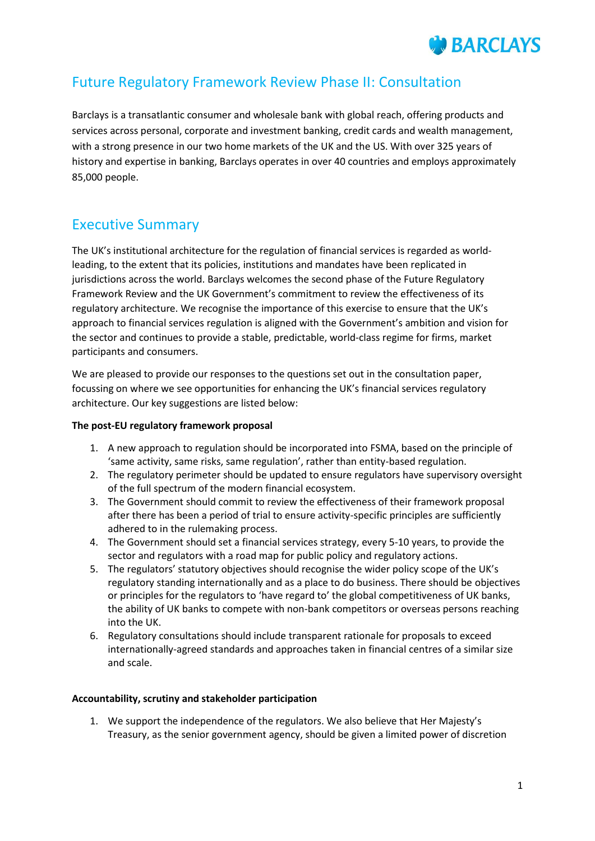

## Future Regulatory Framework Review Phase II: Consultation

Barclays is a transatlantic consumer and wholesale bank with global reach, offering products and services across personal, corporate and investment banking, credit cards and wealth management, with a strong presence in our two home markets of the UK and the US. With over 325 years of history and expertise in banking, Barclays operates in over 40 countries and employs approximately 85,000 people.

## Executive Summary

The UK's institutional architecture for the regulation of financial services is regarded as worldleading, to the extent that its policies, institutions and mandates have been replicated in jurisdictions across the world. Barclays welcomes the second phase of the Future Regulatory Framework Review and the UK Government's commitment to review the effectiveness of its regulatory architecture. We recognise the importance of this exercise to ensure that the UK's approach to financial services regulation is aligned with the Government's ambition and vision for the sector and continues to provide a stable, predictable, world-class regime for firms, market participants and consumers.

We are pleased to provide our responses to the questions set out in the consultation paper, focussing on where we see opportunities for enhancing the UK's financial services regulatory architecture. Our key suggestions are listed below:

## **The post-EU regulatory framework proposal**

- 1. A new approach to regulation should be incorporated into FSMA, based on the principle of 'same activity, same risks, same regulation', rather than entity-based regulation.
- 2. The regulatory perimeter should be updated to ensure regulators have supervisory oversight of the full spectrum of the modern financial ecosystem.
- 3. The Government should commit to review the effectiveness of their framework proposal after there has been a period of trial to ensure activity-specific principles are sufficiently adhered to in the rulemaking process.
- 4. The Government should set a financial services strategy, every 5-10 years, to provide the sector and regulators with a road map for public policy and regulatory actions.
- 5. The regulators' statutory objectives should recognise the wider policy scope of the UK's regulatory standing internationally and as a place to do business. There should be objectives or principles for the regulators to 'have regard to' the global competitiveness of UK banks, the ability of UK banks to compete with non-bank competitors or overseas persons reaching into the UK.
- 6. Regulatory consultations should include transparent rationale for proposals to exceed internationally-agreed standards and approaches taken in financial centres of a similar size and scale.

## **Accountability, scrutiny and stakeholder participation**

1. We support the independence of the regulators. We also believe that Her Majesty's Treasury, as the senior government agency, should be given a limited power of discretion